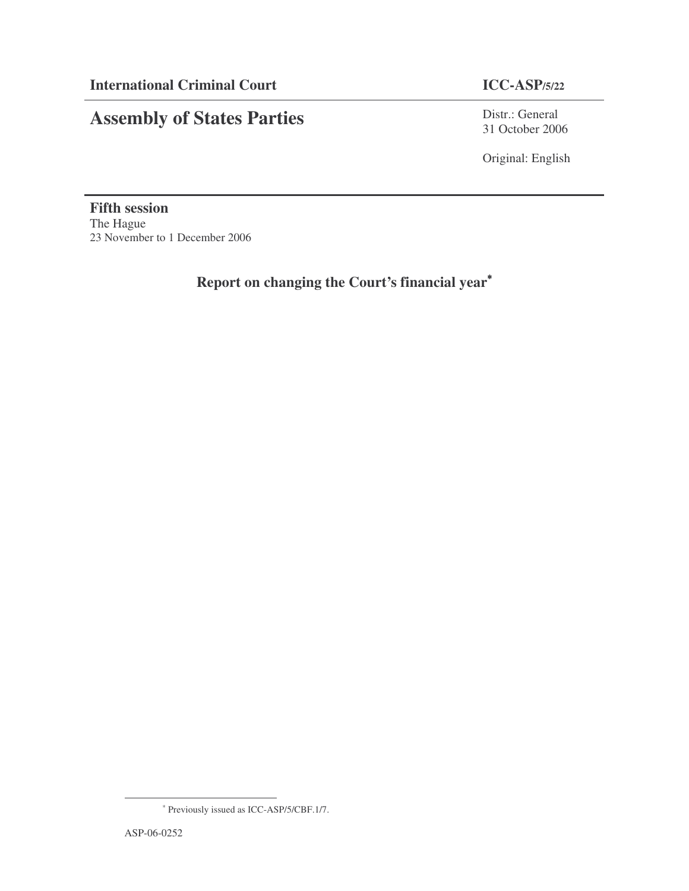# **Assembly of States Parties**

Distr.: General 31 October 2006

Original: English

**Fifth session** The Hague 23 November to 1 December 2006

**Report on changing the Court's financial year** ∗

<sup>∗</sup> Previously issued as ICC-ASP/5/CBF.1/7.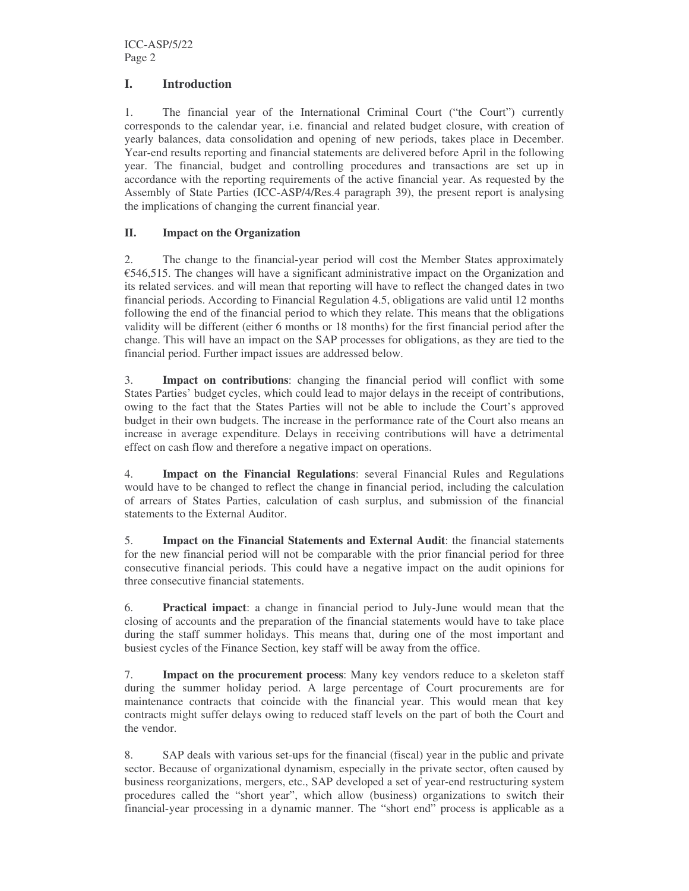## **I. Introduction**

1. The financial year of the International Criminal Court ("the Court") currently corresponds to the calendar year, i.e. financial and related budget closure, with creation of yearly balances, data consolidation and opening of new periods, takes place in December. Year-end results reporting and financial statements are delivered before April in the following year. The financial, budget and controlling procedures and transactions are set up in accordance with the reporting requirements of the active financial year. As requested by the Assembly of State Parties (ICC-ASP/4/Res.4 paragraph 39), the present report is analysing the implications of changing the current financial year.

#### **II. Impact on the Organization**

2. The change to the financial-year period will cost the Member States approximately €546,515. The changes will have a significant administrative impact on the Organization and its related services. and will mean that reporting will have to reflect the changed dates in two financial periods. According to Financial Regulation 4.5, obligations are valid until 12 months following the end of the financial period to which they relate. This means that the obligations validity will be different (either 6 months or 18 months) for the first financial period after the change. This will have an impact on the SAP processes for obligations, as they are tied to the financial period. Further impact issues are addressed below.

3. **Impact on contributions**: changing the financial period will conflict with some States Parties' budget cycles, which could lead to major delays in the receipt of contributions, owing to the fact that the States Parties will not be able to include the Court's approved budget in their own budgets. The increase in the performance rate of the Court also means an increase in average expenditure. Delays in receiving contributions will have a detrimental effect on cash flow and therefore a negative impact on operations.

4. **Impact on the Financial Regulations**: several Financial Rules and Regulations would have to be changed to reflect the change in financial period, including the calculation of arrears of States Parties, calculation of cash surplus, and submission of the financial statements to the External Auditor.

5. **Impact on the Financial Statements and External Audit**: the financial statements for the new financial period will not be comparable with the prior financial period for three consecutive financial periods. This could have a negative impact on the audit opinions for three consecutive financial statements.

6. **Practical impact**: a change in financial period to July-June would mean that the closing of accounts and the preparation of the financial statements would have to take place during the staff summer holidays. This means that, during one of the most important and busiest cycles of the Finance Section, key staff will be away from the office.

7. **Impact on the procurement process**: Many key vendors reduce to a skeleton staff during the summer holiday period. A large percentage of Court procurements are for maintenance contracts that coincide with the financial year. This would mean that key contracts might suffer delays owing to reduced staff levels on the part of both the Court and the vendor.

8. SAP deals with various set-ups for the financial (fiscal) year in the public and private sector. Because of organizational dynamism, especially in the private sector, often caused by business reorganizations, mergers, etc., SAP developed a set of year-end restructuring system procedures called the "short year", which allow (business) organizations to switch their financial-year processing in a dynamic manner. The "short end" process is applicable as a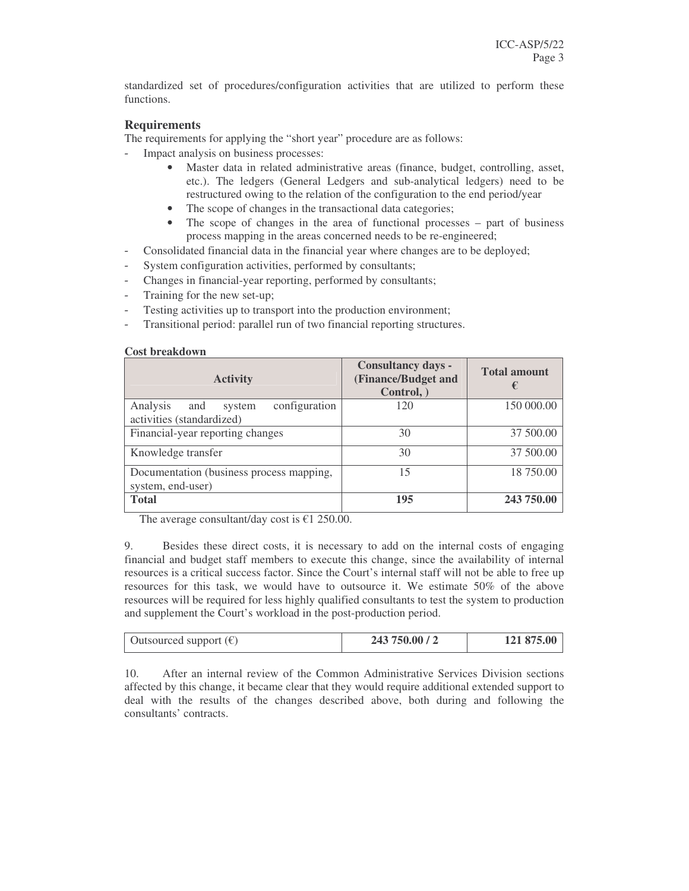standardized set of procedures/configuration activities that are utilized to perform these functions.

#### **Requirements**

The requirements for applying the "short year" procedure are as follows:

- Impact analysis on business processes:
	- Master data in related administrative areas (finance, budget, controlling, asset, etc.). The ledgers (General Ledgers and sub-analytical ledgers) need to be restructured owing to the relation of the configuration to the end period/year
	- The scope of changes in the transactional data categories;
	- The scope of changes in the area of functional processes part of business process mapping in the areas concerned needs to be re-engineered;
- Consolidated financial data in the financial year where changes are to be deployed;
- System configuration activities, performed by consultants;
- Changes in financial-year reporting, performed by consultants;
- Training for the new set-up;
- Testing activities up to transport into the production environment;
- Transitional period: parallel run of two financial reporting structures.

#### **Cost breakdown**

| <b>Activity</b>                                                         | <b>Consultancy days -</b><br>(Finance/Budget and<br>Control, | <b>Total amount</b><br>€ |  |
|-------------------------------------------------------------------------|--------------------------------------------------------------|--------------------------|--|
| Analysis<br>configuration<br>and<br>system<br>activities (standardized) | 120                                                          | 150 000.00               |  |
| Financial-year reporting changes                                        | 30                                                           | 37 500.00                |  |
| Knowledge transfer                                                      | 30                                                           | 37 500.00                |  |
| Documentation (business process mapping,<br>system, end-user)           | 15                                                           | 18 750.00                |  |
| <b>Total</b>                                                            | 195                                                          | 243 750.00               |  |

The average consultant/day cost is  $\epsilon$ 1 250.00.

9. Besides these direct costs, it is necessary to add on the internal costs of engaging financial and budget staff members to execute this change, since the availability of internal resources is a critical success factor. Since the Court's internal staff will not be able to free up resources for this task, we would have to outsource it. We estimate 50% of the above resources will be required for less highly qualified consultants to test the system to production and supplement the Court's workload in the post-production period.

| Outsourced support $(\epsilon)$ | 243 750.00 / 2 | 121 875.00 |
|---------------------------------|----------------|------------|

10. After an internal review of the Common Administrative Services Division sections affected by this change, it became clear that they would require additional extended support to deal with the results of the changes described above, both during and following the consultants' contracts.